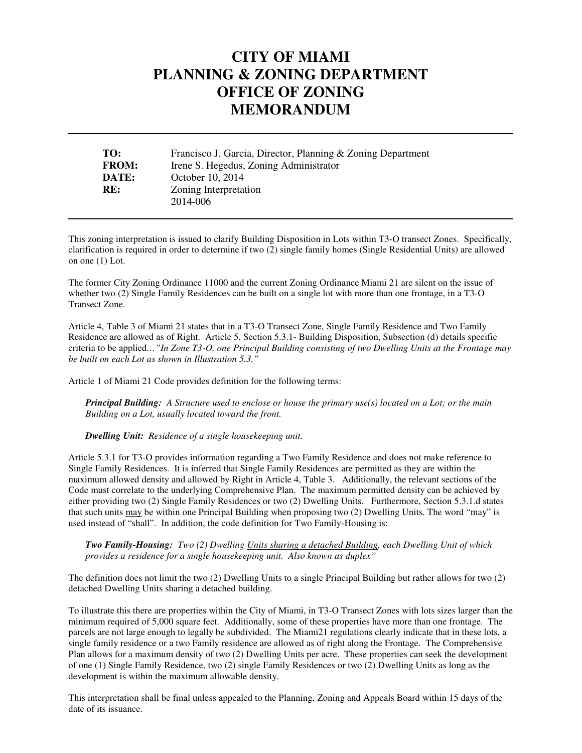## **CITY OF MIAMI PLANNING & ZONING DEPARTMENT OFFICE OF ZONING MEMORANDUM**

| TO:          | Francisco J. Garcia, Director, Planning & Zoning Department |
|--------------|-------------------------------------------------------------|
| <b>FROM:</b> | Irene S. Hegedus, Zoning Administrator                      |
| DATE:        | October 10, 2014                                            |
| RE:          | Zoning Interpretation                                       |
|              | 2014-006                                                    |

This zoning interpretation is issued to clarify Building Disposition in Lots within T3-O transect Zones. Specifically, clarification is required in order to determine if two (2) single family homes (Single Residential Units) are allowed on one (1) Lot.

The former City Zoning Ordinance 11000 and the current Zoning Ordinance Miami 21 are silent on the issue of whether two (2) Single Family Residences can be built on a single lot with more than one frontage, in a T3-O Transect Zone.

Article 4, Table 3 of Miami 21 states that in a T3-O Transect Zone, Single Family Residence and Two Family Residence are allowed as of Right. Article 5, Section 5.3.1- Building Disposition, Subsection (d) details specific criteria to be applied*…"In Zone T3-O, one Principal Building consisting of two Dwelling Units at the Frontage may be built on each Lot as shown in Illustration 5.3."* 

Article 1 of Miami 21 Code provides definition for the following terms:

*Principal Building: A Structure used to enclose or house the primary use(s) located on a Lot; or the main Building on a Lot, usually located toward the front.* 

*Dwelling Unit: Residence of a single housekeeping unit.* 

 $\ddot{\phantom{a}}$ 

 $\ddot{\phantom{a}}$ 

Article 5.3.1 for T3-O provides information regarding a Two Family Residence and does not make reference to Single Family Residences. It is inferred that Single Family Residences are permitted as they are within the maximum allowed density and allowed by Right in Article 4, Table 3. Additionally, the relevant sections of the Code must correlate to the underlying Comprehensive Plan. The maximum permitted density can be achieved by either providing two (2) Single Family Residences or two (2) Dwelling Units. Furthermore, Section 5.3.1.d states that such units may be within one Principal Building when proposing two (2) Dwelling Units. The word "may" is used instead of "shall". In addition, the code definition for Two Family-Housing is:

*Two Family-Housing: Two (2) Dwelling Units sharing a detached Building, each Dwelling Unit of which provides a residence for a single housekeeping unit. Also known as duplex"* 

The definition does not limit the two (2) Dwelling Units to a single Principal Building but rather allows for two (2) detached Dwelling Units sharing a detached building.

To illustrate this there are properties within the City of Miami, in T3-O Transect Zones with lots sizes larger than the minimum required of 5,000 square feet. Additionally, some of these properties have more than one frontage. The parcels are not large enough to legally be subdivided. The Miami21 regulations clearly indicate that in these lots, a single family residence or a two Family residence are allowed as of right along the Frontage. The Comprehensive Plan allows for a maximum density of two (2) Dwelling Units per acre. These properties can seek the development of one (1) Single Family Residence, two (2) single Family Residences or two (2) Dwelling Units as long as the development is within the maximum allowable density.

This interpretation shall be final unless appealed to the Planning, Zoning and Appeals Board within 15 days of the date of its issuance.